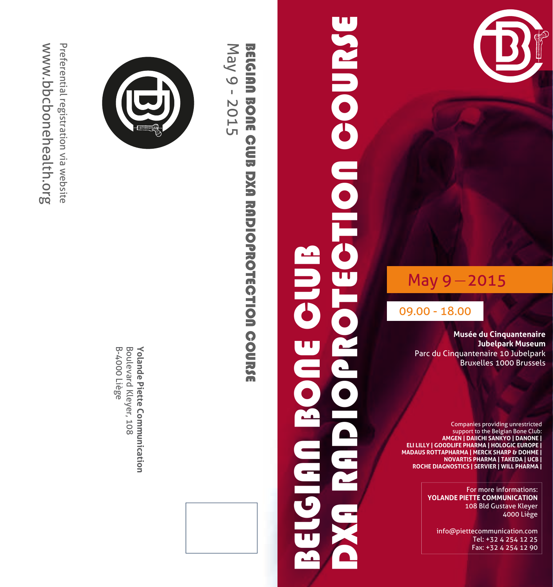

### $May 9 - 2015$

09.00 - 18.00

**Musée du Cinquantenaire Jubelpark Museum** Parc du Cinquantenaire 10 Jubelpark Bruxelles 1000 Brussels

Companies providing unrestricted support to the Belgian Bone Club: **AMGEN | DAIICHI SANKYO | DANONE | ELI LILLY | GOODLIFE PHARMA | HOLOGIC EUROPE | MADAUS ROTTAPHARMA | MERCK SHARP & DOHME | NOVARTIS PHARMA | TAKEDA | UCB | ROCHE DIAGNOSTICS | SERVIER | WILL PHARMA |** 

> For more informations: **YOLANDE PIETTE COMMUNICATION** 108 Bld Gustave Kleyer 4000 Liège

info@piettecommunication.com Tel: +32 4 254 12 25 Fax: +32 4 254 12 90

## **OPROTECTION COURSE** DXA RADIOPROTECTION COURSE BELGIAN BONE CLUB **BOUE CLUB** 3356100

## May 9 - 2015 **BEIGIAN BONE CUUB DXA RADIOPROTECTION COURSE** May 9 - 2015 BELGIAN BONE CLUB DXA RADIOPROTECTION COURSE



B-4000 Liège Boulevard Kleyer, 108 B-4000 Liège Boulevard Kleyer, 108 Yolande Piette Communication **Yolande Piette Communication**

www.bbcbonehealth.org Preferential registration via website www.bbcbonehealth.org Preferential registration via website